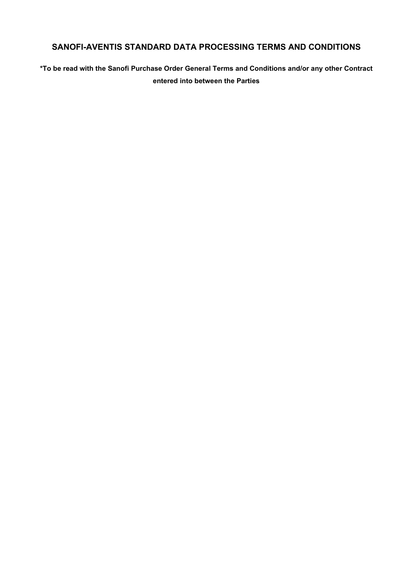# **SANOFI-AVENTIS STANDARD DATA PROCESSING TERMS AND CONDITIONS**

**\*To be read with the Sanofi Purchase Order General Terms and Conditions and/or any other Contract entered into between the Parties**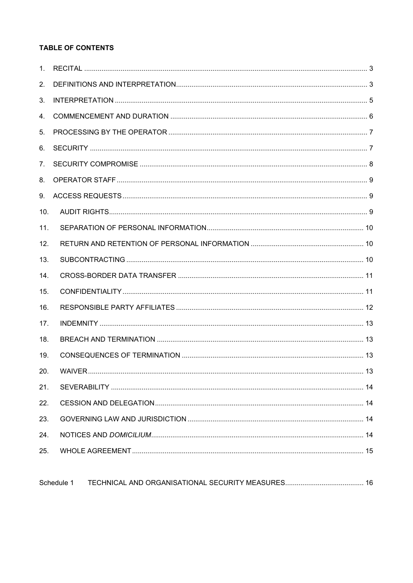## **TABLE OF CONTENTS**

| 1 <sub>1</sub> |  |
|----------------|--|
| 2.             |  |
| 3.             |  |
| 4.             |  |
| 5.             |  |
| 6.             |  |
| 7.             |  |
| 8.             |  |
| 9.             |  |
| 10.            |  |
| 11.            |  |
| 12.            |  |
| 13.            |  |
| 14.            |  |
| 15.            |  |
| 16.            |  |
| 17.            |  |
| 18.            |  |
| 19.            |  |
| 20.            |  |
| 21.            |  |
| 22.            |  |
| 23.            |  |
| 24.            |  |
| 25.            |  |
|                |  |

| Schedule 1 |  |  |
|------------|--|--|
|------------|--|--|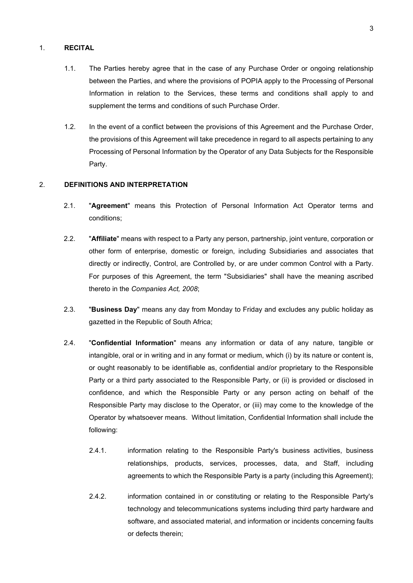## <span id="page-2-0"></span>1. **RECITAL**

- 1.1. The Parties hereby agree that in the case of any Purchase Order or ongoing relationship between the Parties, and where the provisions of POPIA apply to the Processing of Personal Information in relation to the Services, these terms and conditions shall apply to and supplement the terms and conditions of such Purchase Order.
- 1.2. In the event of a conflict between the provisions of this Agreement and the Purchase Order, the provisions of this Agreement will take precedence in regard to all aspects pertaining to any Processing of Personal Information by the Operator of any Data Subjects for the Responsible Party.

### <span id="page-2-1"></span>2. **DEFINITIONS AND INTERPRETATION**

- 2.1. "**Agreement**" means this Protection of Personal Information Act Operator terms and conditions;
- 2.2. "**Affiliate**" means with respect to a Party any person, partnership, joint venture, corporation or other form of enterprise, domestic or foreign, including Subsidiaries and associates that directly or indirectly, Control, are Controlled by, or are under common Control with a Party. For purposes of this Agreement, the term "Subsidiaries" shall have the meaning ascribed thereto in the *Companies Act, 2008*;
- 2.3. "**Business Day**" means any day from Monday to Friday and excludes any public holiday as gazetted in the Republic of South Africa;
- 2.4. "**Confidential Information**" means any information or data of any nature, tangible or intangible, oral or in writing and in any format or medium, which (i) by its nature or content is, or ought reasonably to be identifiable as, confidential and/or proprietary to the Responsible Party or a third party associated to the Responsible Party, or (ii) is provided or disclosed in confidence, and which the Responsible Party or any person acting on behalf of the Responsible Party may disclose to the Operator, or (iii) may come to the knowledge of the Operator by whatsoever means. Without limitation, Confidential Information shall include the following:
	- 2.4.1. information relating to the Responsible Party's business activities, business relationships, products, services, processes, data, and Staff, including agreements to which the Responsible Party is a party (including this Agreement);
	- 2.4.2. information contained in or constituting or relating to the Responsible Party's technology and telecommunications systems including third party hardware and software, and associated material, and information or incidents concerning faults or defects therein;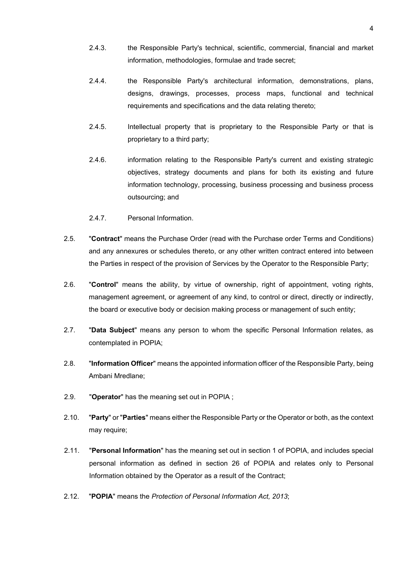- 2.4.3. the Responsible Party's technical, scientific, commercial, financial and market information, methodologies, formulae and trade secret;
- 2.4.4. the Responsible Party's architectural information, demonstrations, plans, designs, drawings, processes, process maps, functional and technical requirements and specifications and the data relating thereto;
- 2.4.5. Intellectual property that is proprietary to the Responsible Party or that is proprietary to a third party;
- 2.4.6. information relating to the Responsible Party's current and existing strategic objectives, strategy documents and plans for both its existing and future information technology, processing, business processing and business process outsourcing; and
- 2.4.7. Personal Information.
- 2.5. "**Contract**" means the Purchase Order (read with the Purchase order Terms and Conditions) and any annexures or schedules thereto, or any other written contract entered into between the Parties in respect of the provision of Services by the Operator to the Responsible Party;
- 2.6. "**Control**" means the ability, by virtue of ownership, right of appointment, voting rights, management agreement, or agreement of any kind, to control or direct, directly or indirectly, the board or executive body or decision making process or management of such entity;
- 2.7. "**Data Subject**" means any person to whom the specific Personal Information relates, as contemplated in POPIA;
- 2.8. "**Information Officer**" means the appointed information officer of the Responsible Party, being Ambani Mredlane;
- 2.9. "**Operator**" has the meaning set out in POPIA ;
- 2.10. "**Party**" or "**Parties**" means either the Responsible Party or the Operator or both, as the context may require;
- 2.11. "**Personal Information**" has the meaning set out in section 1 of POPIA, and includes special personal information as defined in section 26 of POPIA and relates only to Personal Information obtained by the Operator as a result of the Contract;
- 2.12. "**POPIA**" means the *Protection of Personal Information Act, 2013*;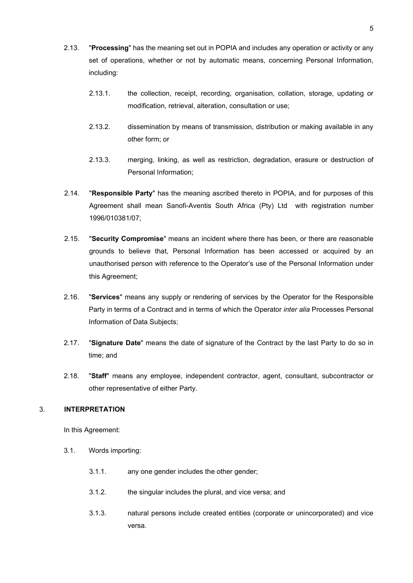- 2.13. "**Processing**" has the meaning set out in POPIA and includes any operation or activity or any set of operations, whether or not by automatic means, concerning Personal Information, including:
	- 2.13.1. the collection, receipt, recording, organisation, collation, storage, updating or modification, retrieval, alteration, consultation or use;
	- 2.13.2. dissemination by means of transmission, distribution or making available in any other form; or
	- 2.13.3. merging, linking, as well as restriction, degradation, erasure or destruction of Personal Information;
- 2.14. "**Responsible Party**" has the meaning ascribed thereto in POPIA, and for purposes of this Agreement shall mean Sanofi-Aventis South Africa (Pty) Ltd with registration number 1996/010381/07;
- 2.15. "**Security Compromise**" means an incident where there has been, or there are reasonable grounds to believe that, Personal Information has been accessed or acquired by an unauthorised person with reference to the Operator's use of the Personal Information under this Agreement;
- 2.16. "**Services**" means any supply or rendering of services by the Operator for the Responsible Party in terms of a Contract and in terms of which the Operator *inter alia* Processes Personal Information of Data Subjects;
- 2.17. "**Signature Date**" means the date of signature of the Contract by the last Party to do so in time; and
- 2.18. "**Staff**" means any employee, independent contractor, agent, consultant, subcontractor or other representative of either Party.

## <span id="page-4-0"></span>3. **INTERPRETATION**

In this Agreement:

- 3.1. Words importing:
	- 3.1.1. any one gender includes the other gender;
	- 3.1.2. the singular includes the plural, and vice versa; and
	- 3.1.3. natural persons include created entities (corporate or unincorporated) and vice versa.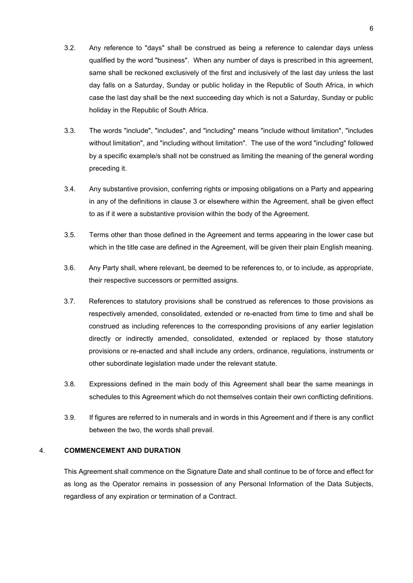- 3.2. Any reference to "days" shall be construed as being a reference to calendar days unless qualified by the word "business". When any number of days is prescribed in this agreement, same shall be reckoned exclusively of the first and inclusively of the last day unless the last day falls on a Saturday, Sunday or public holiday in the Republic of South Africa, in which case the last day shall be the next succeeding day which is not a Saturday, Sunday or public holiday in the Republic of South Africa.
- 3.3. The words "include", "includes", and "including" means "include without limitation", "includes without limitation", and "including without limitation". The use of the word "including" followed by a specific example/s shall not be construed as limiting the meaning of the general wording preceding it.
- 3.4. Any substantive provision, conferring rights or imposing obligations on a Party and appearing in any of the definitions in clause [3](#page-4-0) or elsewhere within the Agreement, shall be given effect to as if it were a substantive provision within the body of the Agreement.
- 3.5. Terms other than those defined in the Agreement and terms appearing in the lower case but which in the title case are defined in the Agreement, will be given their plain English meaning.
- 3.6. Any Party shall, where relevant, be deemed to be references to, or to include, as appropriate, their respective successors or permitted assigns.
- 3.7. References to statutory provisions shall be construed as references to those provisions as respectively amended, consolidated, extended or re-enacted from time to time and shall be construed as including references to the corresponding provisions of any earlier legislation directly or indirectly amended, consolidated, extended or replaced by those statutory provisions or re-enacted and shall include any orders, ordinance, regulations, instruments or other subordinate legislation made under the relevant statute.
- 3.8. Expressions defined in the main body of this Agreement shall bear the same meanings in schedules to this Agreement which do not themselves contain their own conflicting definitions.
- 3.9. If figures are referred to in numerals and in words in this Agreement and if there is any conflict between the two, the words shall prevail.

## <span id="page-5-0"></span>4. **COMMENCEMENT AND DURATION**

This Agreement shall commence on the Signature Date and shall continue to be of force and effect for as long as the Operator remains in possession of any Personal Information of the Data Subjects, regardless of any expiration or termination of a Contract.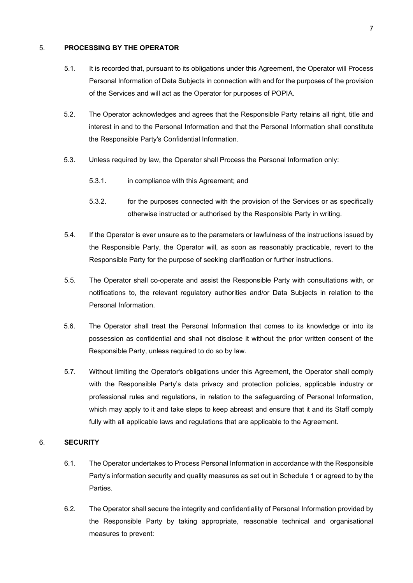## <span id="page-6-0"></span>5. **PROCESSING BY THE OPERATOR**

- 5.1. It is recorded that, pursuant to its obligations under this Agreement, the Operator will Process Personal Information of Data Subjects in connection with and for the purposes of the provision of the Services and will act as the Operator for purposes of POPIA.
- 5.2. The Operator acknowledges and agrees that the Responsible Party retains all right, title and interest in and to the Personal Information and that the Personal Information shall constitute the Responsible Party's Confidential Information.
- 5.3. Unless required by law, the Operator shall Process the Personal Information only:
	- 5.3.1. in compliance with this Agreement; and
	- 5.3.2. for the purposes connected with the provision of the Services or as specifically otherwise instructed or authorised by the Responsible Party in writing.
- 5.4. If the Operator is ever unsure as to the parameters or lawfulness of the instructions issued by the Responsible Party, the Operator will, as soon as reasonably practicable, revert to the Responsible Party for the purpose of seeking clarification or further instructions.
- 5.5. The Operator shall co-operate and assist the Responsible Party with consultations with, or notifications to, the relevant regulatory authorities and/or Data Subjects in relation to the Personal Information.
- 5.6. The Operator shall treat the Personal Information that comes to its knowledge or into its possession as confidential and shall not disclose it without the prior written consent of the Responsible Party, unless required to do so by law.
- 5.7. Without limiting the Operator's obligations under this Agreement, the Operator shall comply with the Responsible Party's data privacy and protection policies, applicable industry or professional rules and regulations, in relation to the safeguarding of Personal Information, which may apply to it and take steps to keep abreast and ensure that it and its Staff comply fully with all applicable laws and regulations that are applicable to the Agreement.

## <span id="page-6-1"></span>6. **SECURITY**

- 6.1. The Operator undertakes to Process Personal Information in accordance with the Responsible Party's information security and quality measures as set out in [Schedule 1](#page-15-0) or agreed to by the Parties.
- 6.2. The Operator shall secure the integrity and confidentiality of Personal Information provided by the Responsible Party by taking appropriate, reasonable technical and organisational measures to prevent: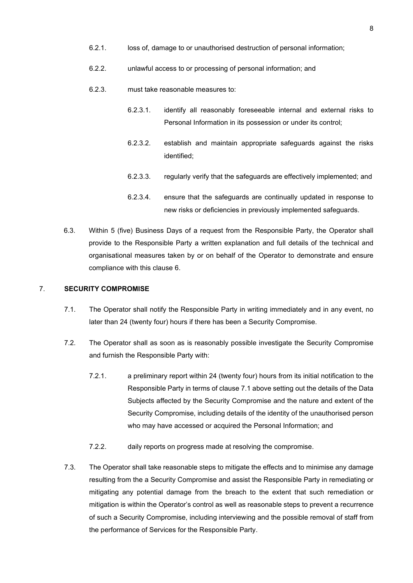- 6.2.1. loss of, damage to or unauthorised destruction of personal information;
- 6.2.2. unlawful access to or processing of personal information; and
- 6.2.3. must take reasonable measures to:
	- 6.2.3.1. identify all reasonably foreseeable internal and external risks to Personal Information in its possession or under its control;
	- 6.2.3.2. establish and maintain appropriate safeguards against the risks identified;
	- 6.2.3.3. regularly verify that the safeguards are effectively implemented; and
	- 6.2.3.4. ensure that the safeguards are continually updated in response to new risks or deficiencies in previously implemented safeguards.
- 6.3. Within 5 (five) Business Days of a request from the Responsible Party, the Operator shall provide to the Responsible Party a written explanation and full details of the technical and organisational measures taken by or on behalf of the Operator to demonstrate and ensure compliance with this clause [6.](#page-6-1)

### <span id="page-7-1"></span><span id="page-7-0"></span>7. **SECURITY COMPROMISE**

- 7.1. The Operator shall notify the Responsible Party in writing immediately and in any event, no later than 24 (twenty four) hours if there has been a Security Compromise.
- 7.2. The Operator shall as soon as is reasonably possible investigate the Security Compromise and furnish the Responsible Party with:
	- 7.2.1. a preliminary report within 24 (twenty four) hours from its initial notification to the Responsible Party in terms of clause [7.1](#page-7-1) above setting out the details of the Data Subjects affected by the Security Compromise and the nature and extent of the Security Compromise, including details of the identity of the unauthorised person who may have accessed or acquired the Personal Information; and
	- 7.2.2. daily reports on progress made at resolving the compromise.
- 7.3. The Operator shall take reasonable steps to mitigate the effects and to minimise any damage resulting from the a Security Compromise and assist the Responsible Party in remediating or mitigating any potential damage from the breach to the extent that such remediation or mitigation is within the Operator's control as well as reasonable steps to prevent a recurrence of such a Security Compromise, including interviewing and the possible removal of staff from the performance of Services for the Responsible Party.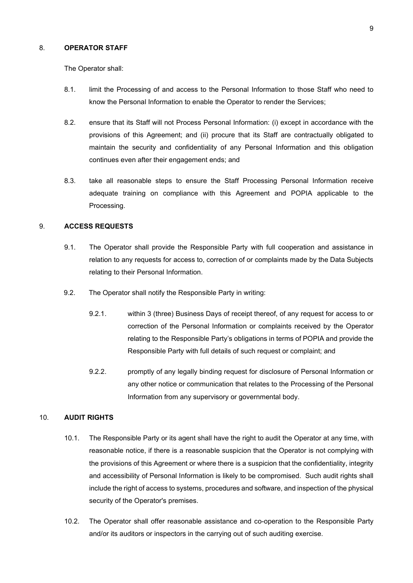#### <span id="page-8-0"></span>8. **OPERATOR STAFF**

The Operator shall:

- 8.1. limit the Processing of and access to the Personal Information to those Staff who need to know the Personal Information to enable the Operator to render the Services;
- 8.2. ensure that its Staff will not Process Personal Information: (i) except in accordance with the provisions of this Agreement; and (ii) procure that its Staff are contractually obligated to maintain the security and confidentiality of any Personal Information and this obligation continues even after their engagement ends; and
- 8.3. take all reasonable steps to ensure the Staff Processing Personal Information receive adequate training on compliance with this Agreement and POPIA applicable to the Processing.

## <span id="page-8-1"></span>9. **ACCESS REQUESTS**

- 9.1. The Operator shall provide the Responsible Party with full cooperation and assistance in relation to any requests for access to, correction of or complaints made by the Data Subjects relating to their Personal Information.
- 9.2. The Operator shall notify the Responsible Party in writing:
	- 9.2.1. within 3 (three) Business Days of receipt thereof, of any request for access to or correction of the Personal Information or complaints received by the Operator relating to the Responsible Party's obligations in terms of POPIA and provide the Responsible Party with full details of such request or complaint; and
	- 9.2.2. promptly of any legally binding request for disclosure of Personal Information or any other notice or communication that relates to the Processing of the Personal Information from any supervisory or governmental body.

### <span id="page-8-2"></span>10. **AUDIT RIGHTS**

- 10.1. The Responsible Party or its agent shall have the right to audit the Operator at any time, with reasonable notice, if there is a reasonable suspicion that the Operator is not complying with the provisions of this Agreement or where there is a suspicion that the confidentiality, integrity and accessibility of Personal Information is likely to be compromised. Such audit rights shall include the right of access to systems, procedures and software, and inspection of the physical security of the Operator's premises.
- 10.2. The Operator shall offer reasonable assistance and co-operation to the Responsible Party and/or its auditors or inspectors in the carrying out of such auditing exercise.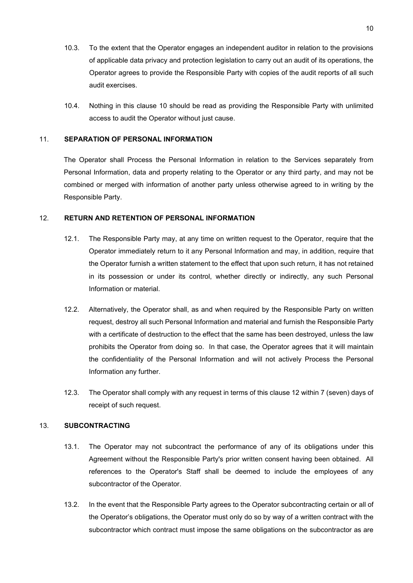- 10.3. To the extent that the Operator engages an independent auditor in relation to the provisions of applicable data privacy and protection legislation to carry out an audit of its operations, the Operator agrees to provide the Responsible Party with copies of the audit reports of all such audit exercises.
- 10.4. Nothing in this clause [10](#page-8-2) should be read as providing the Responsible Party with unlimited access to audit the Operator without just cause.

## <span id="page-9-0"></span>11. **SEPARATION OF PERSONAL INFORMATION**

The Operator shall Process the Personal Information in relation to the Services separately from Personal Information, data and property relating to the Operator or any third party, and may not be combined or merged with information of another party unless otherwise agreed to in writing by the Responsible Party.

## <span id="page-9-1"></span>12. **RETURN AND RETENTION OF PERSONAL INFORMATION**

- 12.1. The Responsible Party may, at any time on written request to the Operator, require that the Operator immediately return to it any Personal Information and may, in addition, require that the Operator furnish a written statement to the effect that upon such return, it has not retained in its possession or under its control, whether directly or indirectly, any such Personal Information or material.
- 12.2. Alternatively, the Operator shall, as and when required by the Responsible Party on written request, destroy all such Personal Information and material and furnish the Responsible Party with a certificate of destruction to the effect that the same has been destroyed, unless the law prohibits the Operator from doing so. In that case, the Operator agrees that it will maintain the confidentiality of the Personal Information and will not actively Process the Personal Information any further.
- 12.3. The Operator shall comply with any request in terms of this clause [12](#page-9-1) within 7 (seven) days of receipt of such request.

## <span id="page-9-2"></span>13. **SUBCONTRACTING**

- 13.1. The Operator may not subcontract the performance of any of its obligations under this Agreement without the Responsible Party's prior written consent having been obtained. All references to the Operator's Staff shall be deemed to include the employees of any subcontractor of the Operator.
- 13.2. In the event that the Responsible Party agrees to the Operator subcontracting certain or all of the Operator's obligations, the Operator must only do so by way of a written contract with the subcontractor which contract must impose the same obligations on the subcontractor as are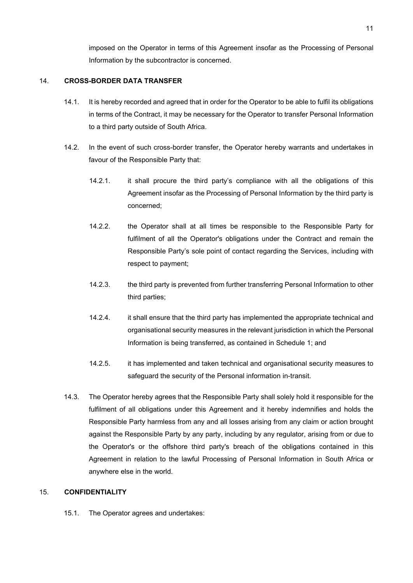imposed on the Operator in terms of this Agreement insofar as the Processing of Personal Information by the subcontractor is concerned.

## <span id="page-10-0"></span>14. **CROSS-BORDER DATA TRANSFER**

- 14.1. It is hereby recorded and agreed that in order for the Operator to be able to fulfil its obligations in terms of the Contract, it may be necessary for the Operator to transfer Personal Information to a third party outside of South Africa.
- 14.2. In the event of such cross-border transfer, the Operator hereby warrants and undertakes in favour of the Responsible Party that:
	- 14.2.1. it shall procure the third party's compliance with all the obligations of this Agreement insofar as the Processing of Personal Information by the third party is concerned;
	- 14.2.2. the Operator shall at all times be responsible to the Responsible Party for fulfilment of all the Operator's obligations under the Contract and remain the Responsible Party's sole point of contact regarding the Services, including with respect to payment;
	- 14.2.3. the third party is prevented from further transferring Personal Information to other third parties;
	- 14.2.4. it shall ensure that the third party has implemented the appropriate technical and organisational security measures in the relevant jurisdiction in which the Personal Information is being transferred, as contained in [Schedule 1;](#page-15-0) and
	- 14.2.5. it has implemented and taken technical and organisational security measures to safeguard the security of the Personal information in-transit.
- 14.3. The Operator hereby agrees that the Responsible Party shall solely hold it responsible for the fulfilment of all obligations under this Agreement and it hereby indemnifies and holds the Responsible Party harmless from any and all losses arising from any claim or action brought against the Responsible Party by any party, including by any regulator, arising from or due to the Operator's or the offshore third party's breach of the obligations contained in this Agreement in relation to the lawful Processing of Personal Information in South Africa or anywhere else in the world.

## <span id="page-10-1"></span>15. **CONFIDENTIALITY**

15.1. The Operator agrees and undertakes: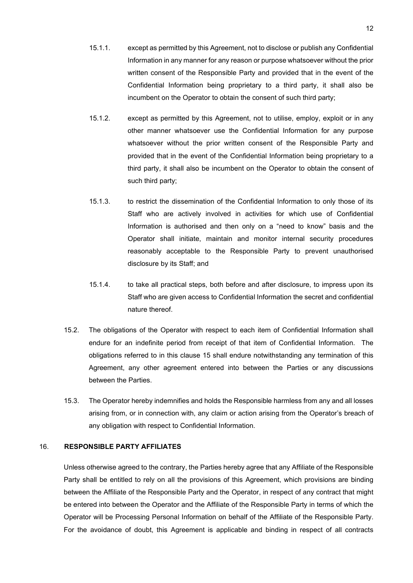- 15.1.1. except as permitted by this Agreement, not to disclose or publish any Confidential Information in any manner for any reason or purpose whatsoever without the prior written consent of the Responsible Party and provided that in the event of the Confidential Information being proprietary to a third party, it shall also be incumbent on the Operator to obtain the consent of such third party;
- 15.1.2. except as permitted by this Agreement, not to utilise, employ, exploit or in any other manner whatsoever use the Confidential Information for any purpose whatsoever without the prior written consent of the Responsible Party and provided that in the event of the Confidential Information being proprietary to a third party, it shall also be incumbent on the Operator to obtain the consent of such third party;
- 15.1.3. to restrict the dissemination of the Confidential Information to only those of its Staff who are actively involved in activities for which use of Confidential Information is authorised and then only on a "need to know" basis and the Operator shall initiate, maintain and monitor internal security procedures reasonably acceptable to the Responsible Party to prevent unauthorised disclosure by its Staff; and
- 15.1.4. to take all practical steps, both before and after disclosure, to impress upon its Staff who are given access to Confidential Information the secret and confidential nature thereof.
- 15.2. The obligations of the Operator with respect to each item of Confidential Information shall endure for an indefinite period from receipt of that item of Confidential Information. The obligations referred to in this clause [15](#page-10-1) shall endure notwithstanding any termination of this Agreement, any other agreement entered into between the Parties or any discussions between the Parties.
- 15.3. The Operator hereby indemnifies and holds the Responsible harmless from any and all losses arising from, or in connection with, any claim or action arising from the Operator's breach of any obligation with respect to Confidential Information.

## <span id="page-11-0"></span>16. **RESPONSIBLE PARTY AFFILIATES**

Unless otherwise agreed to the contrary, the Parties hereby agree that any Affiliate of the Responsible Party shall be entitled to rely on all the provisions of this Agreement, which provisions are binding between the Affiliate of the Responsible Party and the Operator, in respect of any contract that might be entered into between the Operator and the Affiliate of the Responsible Party in terms of which the Operator will be Processing Personal Information on behalf of the Affiliate of the Responsible Party. For the avoidance of doubt, this Agreement is applicable and binding in respect of all contracts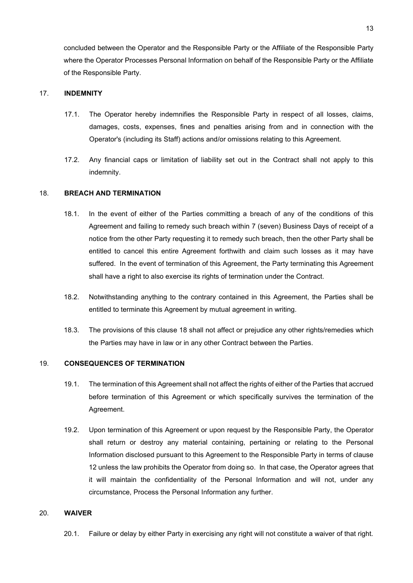concluded between the Operator and the Responsible Party or the Affiliate of the Responsible Party where the Operator Processes Personal Information on behalf of the Responsible Party or the Affiliate of the Responsible Party.

#### <span id="page-12-0"></span>17. **INDEMNITY**

- 17.1. The Operator hereby indemnifies the Responsible Party in respect of all losses, claims, damages, costs, expenses, fines and penalties arising from and in connection with the Operator's (including its Staff) actions and/or omissions relating to this Agreement.
- 17.2. Any financial caps or limitation of liability set out in the Contract shall not apply to this indemnity.

## <span id="page-12-1"></span>18. **BREACH AND TERMINATION**

- 18.1. In the event of either of the Parties committing a breach of any of the conditions of this Agreement and failing to remedy such breach within 7 (seven) Business Days of receipt of a notice from the other Party requesting it to remedy such breach, then the other Party shall be entitled to cancel this entire Agreement forthwith and claim such losses as it may have suffered. In the event of termination of this Agreement, the Party terminating this Agreement shall have a right to also exercise its rights of termination under the Contract.
- 18.2. Notwithstanding anything to the contrary contained in this Agreement, the Parties shall be entitled to terminate this Agreement by mutual agreement in writing.
- 18.3. The provisions of this clause [18](#page-12-1) shall not affect or prejudice any other rights/remedies which the Parties may have in law or in any other Contract between the Parties.

#### <span id="page-12-2"></span>19. **CONSEQUENCES OF TERMINATION**

- 19.1. The termination of this Agreement shall not affect the rights of either of the Parties that accrued before termination of this Agreement or which specifically survives the termination of the Agreement.
- 19.2. Upon termination of this Agreement or upon request by the Responsible Party, the Operator shall return or destroy any material containing, pertaining or relating to the Personal Information disclosed pursuant to this Agreement to the Responsible Party in terms of clause [12](#page-9-1) unless the law prohibits the Operator from doing so. In that case, the Operator agrees that it will maintain the confidentiality of the Personal Information and will not, under any circumstance, Process the Personal Information any further.

### <span id="page-12-3"></span>20. **WAIVER**

20.1. Failure or delay by either Party in exercising any right will not constitute a waiver of that right.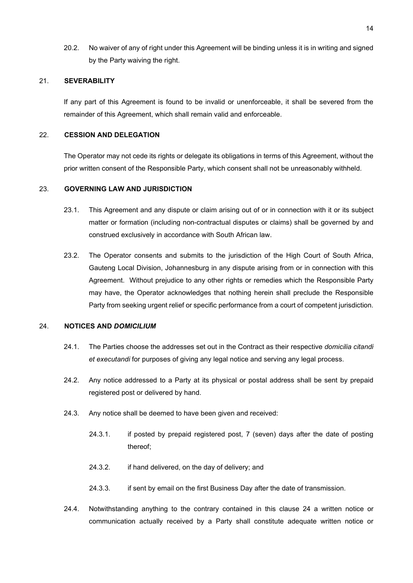20.2. No waiver of any of right under this Agreement will be binding unless it is in writing and signed by the Party waiving the right.

## <span id="page-13-0"></span>21. **SEVERABILITY**

If any part of this Agreement is found to be invalid or unenforceable, it shall be severed from the remainder of this Agreement, which shall remain valid and enforceable.

### <span id="page-13-1"></span>22. **CESSION AND DELEGATION**

The Operator may not cede its rights or delegate its obligations in terms of this Agreement, without the prior written consent of the Responsible Party, which consent shall not be unreasonably withheld.

## <span id="page-13-2"></span>23. **GOVERNING LAW AND JURISDICTION**

- 23.1. This Agreement and any dispute or claim arising out of or in connection with it or its subject matter or formation (including non-contractual disputes or claims) shall be governed by and construed exclusively in accordance with South African law.
- 23.2. The Operator consents and submits to the jurisdiction of the High Court of South Africa, Gauteng Local Division, Johannesburg in any dispute arising from or in connection with this Agreement. Without prejudice to any other rights or remedies which the Responsible Party may have, the Operator acknowledges that nothing herein shall preclude the Responsible Party from seeking urgent relief or specific performance from a court of competent jurisdiction.

## <span id="page-13-3"></span>24. **NOTICES AND** *DOMICILIUM*

- 24.1. The Parties choose the addresses set out in the Contract as their respective *domicilia citandi et executandi* for purposes of giving any legal notice and serving any legal process.
- 24.2. Any notice addressed to a Party at its physical or postal address shall be sent by prepaid registered post or delivered by hand.
- 24.3. Any notice shall be deemed to have been given and received:
	- 24.3.1. if posted by prepaid registered post, 7 (seven) days after the date of posting thereof;
	- 24.3.2. if hand delivered, on the day of delivery; and
	- 24.3.3. if sent by email on the first Business Day after the date of transmission.
- 24.4. Notwithstanding anything to the contrary contained in this clause [24](#page-13-3) a written notice or communication actually received by a Party shall constitute adequate written notice or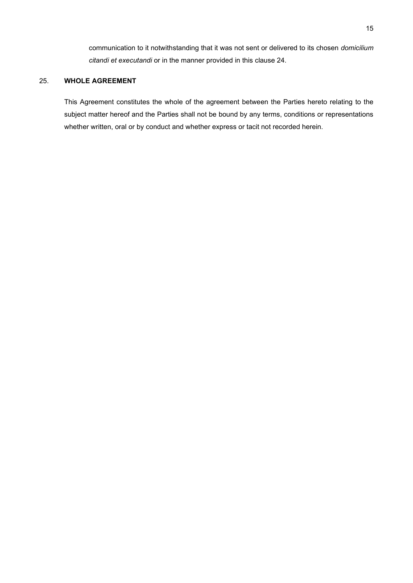communication to it notwithstanding that it was not sent or delivered to its chosen *domicilium citandi et executandi* or in the manner provided in this clause [24.](#page-13-3)

## <span id="page-14-0"></span>25. **WHOLE AGREEMENT**

This Agreement constitutes the whole of the agreement between the Parties hereto relating to the subject matter hereof and the Parties shall not be bound by any terms, conditions or representations whether written, oral or by conduct and whether express or tacit not recorded herein.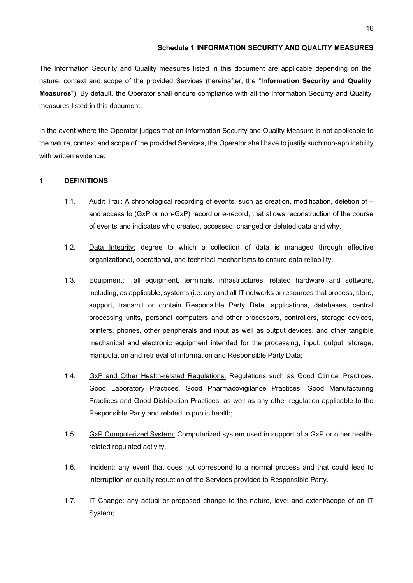## **Schedule 1 INFORMATION SECURITY AND QUALITY MEASURES**

<span id="page-15-0"></span>The Information Security and Quality measures listed in this document are applicable depending on the nature, context and scope of the provided Services (hereinafter, the "**Information Security and Quality Measures**"). By default, the Operator shall ensure compliance with all the Information Security and Quality measures listed in this document.

In the event where the Operator judges that an Information Security and Quality Measure is not applicable to the nature, context and scope of the provided Services, the Operator shall have to justify such non-applicability with written evidence.

## 1. **DEFINITIONS**

- 1.1. Audit Trail: A chronological recording of events, such as creation, modification, deletion of and access to (GxP or non-GxP) record or e-record, that allows reconstruction of the course of events and indicates who created, accessed, changed or deleted data and why.
- 1.2. Data Integrity: degree to which a collection of data is managed through effective organizational, operational, and technical mechanisms to ensure data reliability.
- 1.3. Equipment: all equipment, terminals, infrastructures, related hardware and software, including, as applicable, systems (i.e. any and all IT networks or resources that process, store, support, transmit or contain Responsible Party Data, applications, databases, central processing units, personal computers and other processors, controllers, storage devices, printers, phones, other peripherals and input as well as output devices, and other tangible mechanical and electronic equipment intended for the processing, input, output, storage, manipulation and retrieval of information and Responsible Party Data;
- 1.4. GxP and Other Health-related Regulations: Regulations such as Good Clinical Practices, Good Laboratory Practices, Good Pharmacovigilance Practices, Good Manufacturing Practices and Good Distribution Practices, as well as any other regulation applicable to the Responsible Party and related to public health;
- 1.5. GxP Computerized System: Computerized system used in support of a GxP or other healthrelated regulated activity.
- 1.6. Incident: any event that does not correspond to a normal process and that could lead to interruption or quality reduction of the Services provided to Responsible Party.
- 1.7. IT Change: any actual or proposed change to the nature, level and extent/scope of an IT System;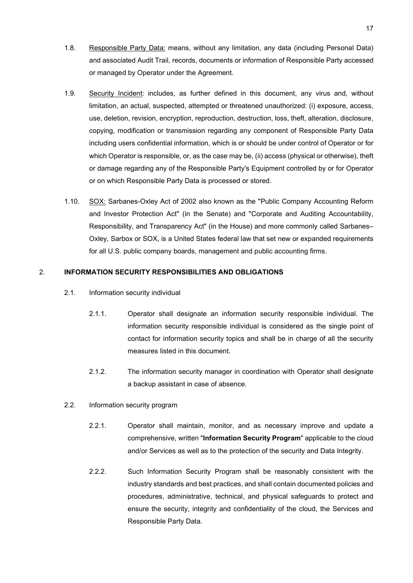- 1.8. Responsible Party Data: means, without any limitation, any data (including Personal Data) and associated Audit Trail, records, documents or information of Responsible Party accessed or managed by Operator under the Agreement.
- 1.9. Security Incident: includes, as further defined in this document, any virus and, without limitation, an actual, suspected, attempted or threatened unauthorized: (i) exposure, access, use, deletion, revision, encryption, reproduction, destruction, loss, theft, alteration, disclosure, copying, modification or transmission regarding any component of Responsible Party Data including users confidential information, which is or should be under control of Operator or for which Operator is responsible, or, as the case may be, (ii) access (physical or otherwise), theft or damage regarding any of the Responsible Party's Equipment controlled by or for Operator or on which Responsible Party Data is processed or stored.
- 1.10. SOX: Sarbanes-Oxley Act of 2002 also known as the "Public Company Accounting Reform and Investor Protection Act" (in the Senate) and "Corporate and Auditing Accountability, Responsibility, and Transparency Act" (in the House) and more commonly called Sarbanes– Oxley, Sarbox or SOX, is a United States federal law that set new or expanded requirements for all U.S. public company boards, management and public accounting firms.

## 2. **INFORMATION SECURITY RESPONSIBILITIES AND OBLIGATIONS**

- 2.1. Information security individual
	- 2.1.1. Operator shall designate an information security responsible individual. The information security responsible individual is considered as the single point of contact for information security topics and shall be in charge of all the security measures listed in this document.
	- 2.1.2. The information security manager in coordination with Operator shall designate a backup assistant in case of absence.
- 2.2. Information security program
	- 2.2.1. Operator shall maintain, monitor, and as necessary improve and update a comprehensive, written "**Information Security Program**" applicable to the cloud and/or Services as well as to the protection of the security and Data Integrity.
	- 2.2.2. Such Information Security Program shall be reasonably consistent with the industry standards and best practices, and shall contain documented policies and procedures, administrative, technical, and physical safeguards to protect and ensure the security, integrity and confidentiality of the cloud, the Services and Responsible Party Data.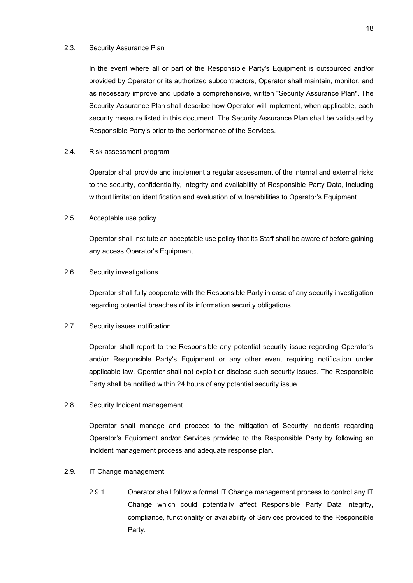#### 2.3. Security Assurance Plan

In the event where all or part of the Responsible Party's Equipment is outsourced and/or provided by Operator or its authorized subcontractors, Operator shall maintain, monitor, and as necessary improve and update a comprehensive, written "Security Assurance Plan". The Security Assurance Plan shall describe how Operator will implement, when applicable, each security measure listed in this document. The Security Assurance Plan shall be validated by Responsible Party's prior to the performance of the Services.

#### 2.4. Risk assessment program

Operator shall provide and implement a regular assessment of the internal and external risks to the security, confidentiality, integrity and availability of Responsible Party Data, including without limitation identification and evaluation of vulnerabilities to Operator's Equipment.

## 2.5. Acceptable use policy

Operator shall institute an acceptable use policy that its Staff shall be aware of before gaining any access Operator's Equipment.

#### 2.6. Security investigations

Operator shall fully cooperate with the Responsible Party in case of any security investigation regarding potential breaches of its information security obligations.

## 2.7. Security issues notification

Operator shall report to the Responsible any potential security issue regarding Operator's and/or Responsible Party's Equipment or any other event requiring notification under applicable law. Operator shall not exploit or disclose such security issues. The Responsible Party shall be notified within 24 hours of any potential security issue.

## 2.8. Security Incident management

Operator shall manage and proceed to the mitigation of Security Incidents regarding Operator's Equipment and/or Services provided to the Responsible Party by following an Incident management process and adequate response plan.

### 2.9. IT Change management

2.9.1. Operator shall follow a formal IT Change management process to control any IT Change which could potentially affect Responsible Party Data integrity, compliance, functionality or availability of Services provided to the Responsible Party.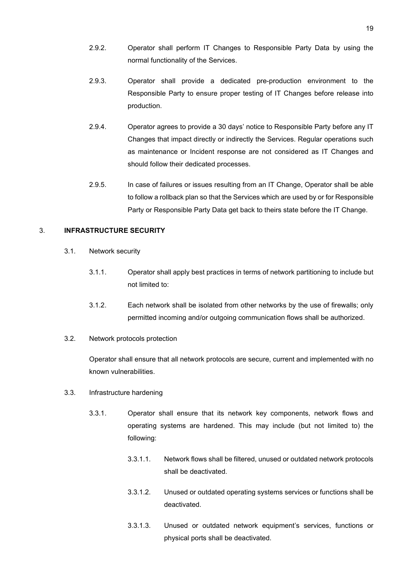- 2.9.2. Operator shall perform IT Changes to Responsible Party Data by using the normal functionality of the Services.
- 2.9.3. Operator shall provide a dedicated pre-production environment to the Responsible Party to ensure proper testing of IT Changes before release into production.
- 2.9.4. Operator agrees to provide a 30 days' notice to Responsible Party before any IT Changes that impact directly or indirectly the Services. Regular operations such as maintenance or Incident response are not considered as IT Changes and should follow their dedicated processes.
- 2.9.5. In case of failures or issues resulting from an IT Change, Operator shall be able to follow a rollback plan so that the Services which are used by or for Responsible Party or Responsible Party Data get back to theirs state before the IT Change.

## 3. **INFRASTRUCTURE SECURITY**

- 3.1. Network security
	- 3.1.1. Operator shall apply best practices in terms of network partitioning to include but not limited to:
	- 3.1.2. Each network shall be isolated from other networks by the use of firewalls; only permitted incoming and/or outgoing communication flows shall be authorized.
- 3.2. Network protocols protection

Operator shall ensure that all network protocols are secure, current and implemented with no known vulnerabilities.

- 3.3. Infrastructure hardening
	- 3.3.1. Operator shall ensure that its network key components, network flows and operating systems are hardened. This may include (but not limited to) the following:
		- 3.3.1.1. Network flows shall be filtered, unused or outdated network protocols shall be deactivated.
		- 3.3.1.2. Unused or outdated operating systems services or functions shall be deactivated.
		- 3.3.1.3. Unused or outdated network equipment's services, functions or physical ports shall be deactivated.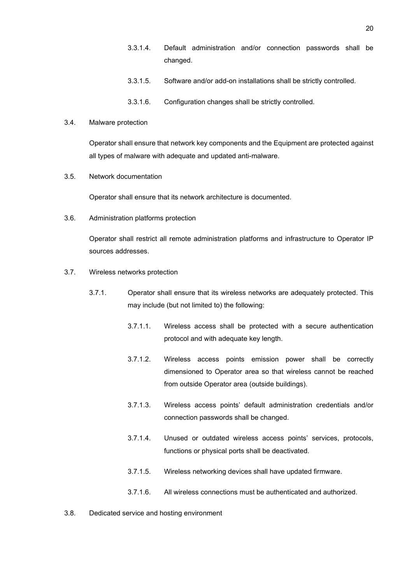- 3.3.1.4. Default administration and/or connection passwords shall be changed.
- 3.3.1.5. Software and/or add-on installations shall be strictly controlled.
- 3.3.1.6. Configuration changes shall be strictly controlled.

#### 3.4. Malware protection

Operator shall ensure that network key components and the Equipment are protected against all types of malware with adequate and updated anti-malware.

#### 3.5. Network documentation

Operator shall ensure that its network architecture is documented.

3.6. Administration platforms protection

Operator shall restrict all remote administration platforms and infrastructure to Operator IP sources addresses.

- 3.7. Wireless networks protection
	- 3.7.1. Operator shall ensure that its wireless networks are adequately protected. This may include (but not limited to) the following:
		- 3.7.1.1. Wireless access shall be protected with a secure authentication protocol and with adequate key length.
		- 3.7.1.2. Wireless access points emission power shall be correctly dimensioned to Operator area so that wireless cannot be reached from outside Operator area (outside buildings).
		- 3.7.1.3. Wireless access points' default administration credentials and/or connection passwords shall be changed.
		- 3.7.1.4. Unused or outdated wireless access points' services, protocols, functions or physical ports shall be deactivated.
		- 3.7.1.5. Wireless networking devices shall have updated firmware.
		- 3.7.1.6. All wireless connections must be authenticated and authorized.
- 3.8. Dedicated service and hosting environment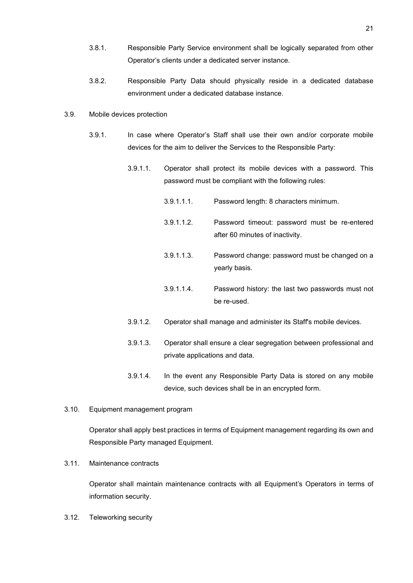- 3.8.1. Responsible Party Service environment shall be logically separated from other Operator's clients under a dedicated server instance.
- 3.8.2. Responsible Party Data should physically reside in a dedicated database environment under a dedicated database instance.
- 3.9. Mobile devices protection
	- 3.9.1. In case where Operator's Staff shall use their own and/or corporate mobile devices for the aim to deliver the Services to the Responsible Party:
		- 3.9.1.1. Operator shall protect its mobile devices with a password. This password must be compliant with the following rules:
			- 3.9.1.1.1. Password length: 8 characters minimum.
			- 3.9.1.1.2. Password timeout: password must be re-entered after 60 minutes of inactivity.
			- 3.9.1.1.3. Password change: password must be changed on a yearly basis.
			- 3.9.1.1.4. Password history: the last two passwords must not be re-used.
		- 3.9.1.2. Operator shall manage and administer its Staff's mobile devices.
		- 3.9.1.3. Operator shall ensure a clear segregation between professional and private applications and data.
		- 3.9.1.4. In the event any Responsible Party Data is stored on any mobile device, such devices shall be in an encrypted form.
- 3.10. Equipment management program

Operator shall apply best practices in terms of Equipment management regarding its own and Responsible Party managed Equipment.

3.11. Maintenance contracts

Operator shall maintain maintenance contracts with all Equipment's Operators in terms of information security.

3.12. Teleworking security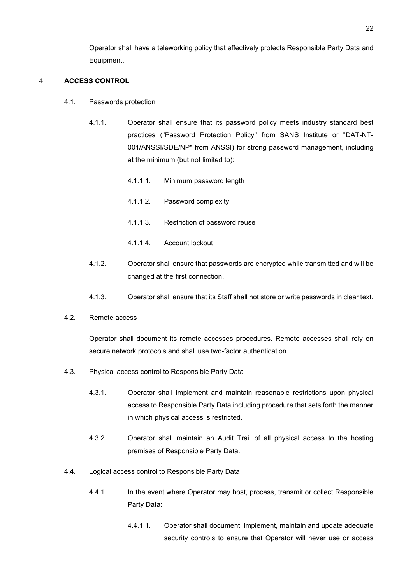Operator shall have a teleworking policy that effectively protects Responsible Party Data and Equipment.

## 4. **ACCESS CONTROL**

- 4.1. Passwords protection
	- 4.1.1. Operator shall ensure that its password policy meets industry standard best practices ("Password Protection Policy" from SANS Institute or "DAT-NT-001/ANSSI/SDE/NP" from ANSSI) for strong password management, including at the minimum (but not limited to):
		- 4.1.1.1. Minimum password length
		- 4.1.1.2. Password complexity
		- 4.1.1.3. Restriction of password reuse
		- 4.1.1.4. Account lockout
	- 4.1.2. Operator shall ensure that passwords are encrypted while transmitted and will be changed at the first connection.
	- 4.1.3. Operator shall ensure that its Staff shall not store or write passwords in clear text.
- 4.2. Remote access

Operator shall document its remote accesses procedures. Remote accesses shall rely on secure network protocols and shall use two-factor authentication.

- 4.3. Physical access control to Responsible Party Data
	- 4.3.1. Operator shall implement and maintain reasonable restrictions upon physical access to Responsible Party Data including procedure that sets forth the manner in which physical access is restricted.
	- 4.3.2. Operator shall maintain an Audit Trail of all physical access to the hosting premises of Responsible Party Data.
- 4.4. Logical access control to Responsible Party Data
	- 4.4.1. In the event where Operator may host, process, transmit or collect Responsible Party Data:
		- 4.4.1.1. Operator shall document, implement, maintain and update adequate security controls to ensure that Operator will never use or access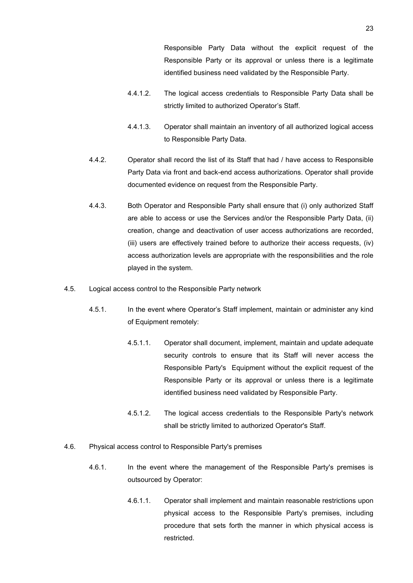Responsible Party Data without the explicit request of the Responsible Party or its approval or unless there is a legitimate identified business need validated by the Responsible Party.

- 4.4.1.2. The logical access credentials to Responsible Party Data shall be strictly limited to authorized Operator's Staff.
- 4.4.1.3. Operator shall maintain an inventory of all authorized logical access to Responsible Party Data.
- 4.4.2. Operator shall record the list of its Staff that had / have access to Responsible Party Data via front and back-end access authorizations. Operator shall provide documented evidence on request from the Responsible Party.
- 4.4.3. Both Operator and Responsible Party shall ensure that (i) only authorized Staff are able to access or use the Services and/or the Responsible Party Data, (ii) creation, change and deactivation of user access authorizations are recorded, (iii) users are effectively trained before to authorize their access requests, (iv) access authorization levels are appropriate with the responsibilities and the role played in the system.
- 4.5. Logical access control to the Responsible Party network
	- 4.5.1. In the event where Operator's Staff implement, maintain or administer any kind of Equipment remotely:
		- 4.5.1.1. Operator shall document, implement, maintain and update adequate security controls to ensure that its Staff will never access the Responsible Party's Equipment without the explicit request of the Responsible Party or its approval or unless there is a legitimate identified business need validated by Responsible Party.
		- 4.5.1.2. The logical access credentials to the Responsible Party's network shall be strictly limited to authorized Operator's Staff.
- 4.6. Physical access control to Responsible Party's premises
	- 4.6.1. In the event where the management of the Responsible Party's premises is outsourced by Operator:
		- 4.6.1.1. Operator shall implement and maintain reasonable restrictions upon physical access to the Responsible Party's premises, including procedure that sets forth the manner in which physical access is restricted.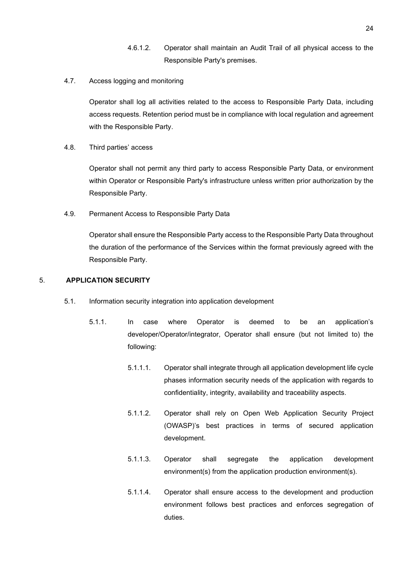- 4.6.1.2. Operator shall maintain an Audit Trail of all physical access to the Responsible Party's premises.
- 4.7. Access logging and monitoring

Operator shall log all activities related to the access to Responsible Party Data, including access requests. Retention period must be in compliance with local regulation and agreement with the Responsible Party.

4.8. Third parties' access

Operator shall not permit any third party to access Responsible Party Data, or environment within Operator or Responsible Party's infrastructure unless written prior authorization by the Responsible Party.

4.9. Permanent Access to Responsible Party Data

Operator shall ensure the Responsible Party access to the Responsible Party Data throughout the duration of the performance of the Services within the format previously agreed with the Responsible Party.

## 5. **APPLICATION SECURITY**

- 5.1. Information security integration into application development
	- 5.1.1. In case where Operator is deemed to be an application's developer/Operator/integrator, Operator shall ensure (but not limited to) the following:
		- 5.1.1.1. Operator shall integrate through all application development life cycle phases information security needs of the application with regards to confidentiality, integrity, availability and traceability aspects.
		- 5.1.1.2. Operator shall rely on Open Web Application Security Project (OWASP)'s best practices in terms of secured application development.
		- 5.1.1.3. Operator shall segregate the application development environment(s) from the application production environment(s).
		- 5.1.1.4. Operator shall ensure access to the development and production environment follows best practices and enforces segregation of duties.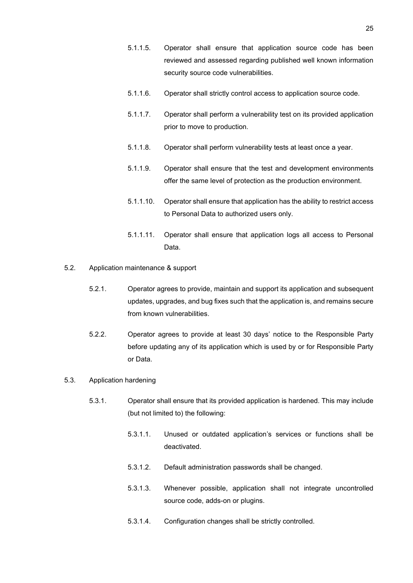- 5.1.1.5. Operator shall ensure that application source code has been reviewed and assessed regarding published well known information security source code vulnerabilities.
- 5.1.1.6. Operator shall strictly control access to application source code.
- 5.1.1.7. Operator shall perform a vulnerability test on its provided application prior to move to production.
- 5.1.1.8. Operator shall perform vulnerability tests at least once a year.
- 5.1.1.9. Operator shall ensure that the test and development environments offer the same level of protection as the production environment.
- 5.1.1.10. Operator shall ensure that application has the ability to restrict access to Personal Data to authorized users only.
- 5.1.1.11. Operator shall ensure that application logs all access to Personal Data.
- 5.2. Application maintenance & support
	- 5.2.1. Operator agrees to provide, maintain and support its application and subsequent updates, upgrades, and bug fixes such that the application is, and remains secure from known vulnerabilities.
	- 5.2.2. Operator agrees to provide at least 30 days' notice to the Responsible Party before updating any of its application which is used by or for Responsible Party or Data.

## 5.3. Application hardening

- 5.3.1. Operator shall ensure that its provided application is hardened. This may include (but not limited to) the following:
	- 5.3.1.1. Unused or outdated application's services or functions shall be deactivated.
	- 5.3.1.2. Default administration passwords shall be changed.
	- 5.3.1.3. Whenever possible, application shall not integrate uncontrolled source code, adds-on or plugins.
	- 5.3.1.4. Configuration changes shall be strictly controlled.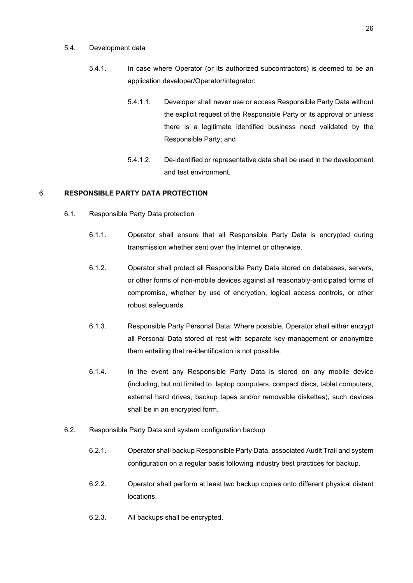#### 5.4. Development data

- 5.4.1. In case where Operator (or its authorized subcontractors) is deemed to be an application developer/Operator/integrator:
	- 5.4.1.1. Developer shall never use or access Responsible Party Data without the explicit request of the Responsible Party or its approval or unless there is a legitimate identified business need validated by the Responsible Party; and
	- 5.4.1.2. De-identified or representative data shall be used in the development and test environment.

## 6. **RESPONSIBLE PARTY DATA PROTECTION**

- 6.1. Responsible Party Data protection
	- 6.1.1. Operator shall ensure that all Responsible Party Data is encrypted during transmission whether sent over the Internet or otherwise.
	- 6.1.2. Operator shall protect all Responsible Party Data stored on databases, servers, or other forms of non-mobile devices against all reasonably-anticipated forms of compromise, whether by use of encryption, logical access controls, or other robust safeguards.
	- 6.1.3. Responsible Party Personal Data: Where possible, Operator shall either encrypt all Personal Data stored at rest with separate key management or anonymize them entailing that re-identification is not possible.
	- 6.1.4. In the event any Responsible Party Data is stored on any mobile device (including, but not limited to, laptop computers, compact discs, tablet computers, external hard drives, backup tapes and/or removable diskettes), such devices shall be in an encrypted form.
- 6.2. Responsible Party Data and system configuration backup
	- 6.2.1. Operator shall backup Responsible Party Data, associated Audit Trail and system configuration on a regular basis following industry best practices for backup.
	- 6.2.2. Operator shall perform at least two backup copies onto different physical distant locations.
	- 6.2.3. All backups shall be encrypted.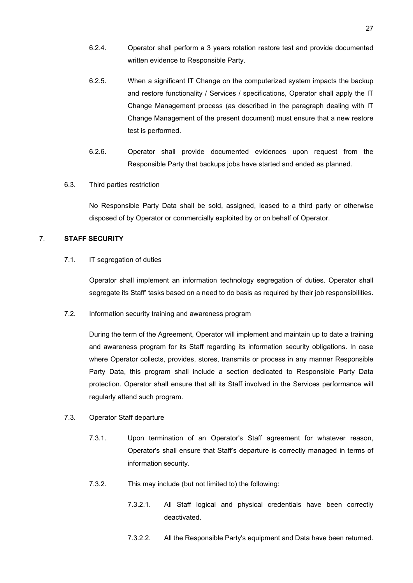- 6.2.4. Operator shall perform a 3 years rotation restore test and provide documented written evidence to Responsible Party.
- 6.2.5. When a significant IT Change on the computerized system impacts the backup and restore functionality / Services / specifications, Operator shall apply the IT Change Management process (as described in the paragraph dealing with IT Change Management of the present document) must ensure that a new restore test is performed.
- 6.2.6. Operator shall provide documented evidences upon request from the Responsible Party that backups jobs have started and ended as planned.

### 6.3. Third parties restriction

No Responsible Party Data shall be sold, assigned, leased to a third party or otherwise disposed of by Operator or commercially exploited by or on behalf of Operator.

## 7. **STAFF SECURITY**

### 7.1. IT segregation of duties

Operator shall implement an information technology segregation of duties. Operator shall segregate its Staff' tasks based on a need to do basis as required by their job responsibilities.

7.2. Information security training and awareness program

During the term of the Agreement, Operator will implement and maintain up to date a training and awareness program for its Staff regarding its information security obligations. In case where Operator collects, provides, stores, transmits or process in any manner Responsible Party Data, this program shall include a section dedicated to Responsible Party Data protection. Operator shall ensure that all its Staff involved in the Services performance will regularly attend such program.

- 7.3. Operator Staff departure
	- 7.3.1. Upon termination of an Operator's Staff agreement for whatever reason, Operator's shall ensure that Staff's departure is correctly managed in terms of information security.
	- 7.3.2. This may include (but not limited to) the following:
		- 7.3.2.1. All Staff logical and physical credentials have been correctly deactivated.
		- 7.3.2.2. All the Responsible Party's equipment and Data have been returned.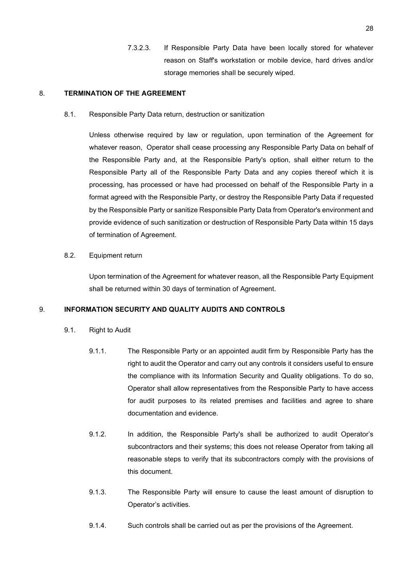7.3.2.3. If Responsible Party Data have been locally stored for whatever reason on Staff's workstation or mobile device, hard drives and/or storage memories shall be securely wiped.

### 8. **TERMINATION OF THE AGREEMENT**

#### 8.1. Responsible Party Data return, destruction or sanitization

Unless otherwise required by law or regulation, upon termination of the Agreement for whatever reason, Operator shall cease processing any Responsible Party Data on behalf of the Responsible Party and, at the Responsible Party's option, shall either return to the Responsible Party all of the Responsible Party Data and any copies thereof which it is processing, has processed or have had processed on behalf of the Responsible Party in a format agreed with the Responsible Party, or destroy the Responsible Party Data if requested by the Responsible Party or sanitize Responsible Party Data from Operator's environment and provide evidence of such sanitization or destruction of Responsible Party Data within 15 days of termination of Agreement.

## 8.2. Equipment return

Upon termination of the Agreement for whatever reason, all the Responsible Party Equipment shall be returned within 30 days of termination of Agreement.

### 9. **INFORMATION SECURITY AND QUALITY AUDITS AND CONTROLS**

- 9.1. Right to Audit
	- 9.1.1. The Responsible Party or an appointed audit firm by Responsible Party has the right to audit the Operator and carry out any controls it considers useful to ensure the compliance with its Information Security and Quality obligations. To do so, Operator shall allow representatives from the Responsible Party to have access for audit purposes to its related premises and facilities and agree to share documentation and evidence.
	- 9.1.2. In addition, the Responsible Party's shall be authorized to audit Operator's subcontractors and their systems; this does not release Operator from taking all reasonable steps to verify that its subcontractors comply with the provisions of this document.
	- 9.1.3. The Responsible Party will ensure to cause the least amount of disruption to Operator's activities.
	- 9.1.4. Such controls shall be carried out as per the provisions of the Agreement.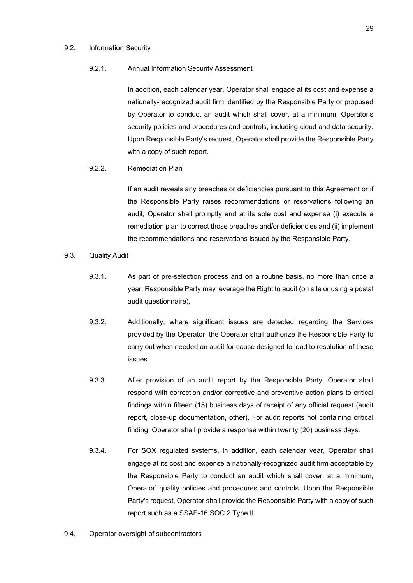#### 9.2. Information Security

## 9.2.1. Annual Information Security Assessment

In addition, each calendar year, Operator shall engage at its cost and expense a nationally-recognized audit firm identified by the Responsible Party or proposed by Operator to conduct an audit which shall cover, at a minimum, Operator's security policies and procedures and controls, including cloud and data security. Upon Responsible Party's request, Operator shall provide the Responsible Party with a copy of such report.

### 9.2.2. Remediation Plan

If an audit reveals any breaches or deficiencies pursuant to this Agreement or if the Responsible Party raises recommendations or reservations following an audit, Operator shall promptly and at its sole cost and expense (i) execute a remediation plan to correct those breaches and/or deficiencies and (ii) implement the recommendations and reservations issued by the Responsible Party.

## 9.3. Quality Audit

- 9.3.1. As part of pre-selection process and on a routine basis, no more than once a year, Responsible Party may leverage the Right to audit (on site or using a postal audit questionnaire).
- 9.3.2. Additionally, where significant issues are detected regarding the Services provided by the Operator, the Operator shall authorize the Responsible Party to carry out when needed an audit for cause designed to lead to resolution of these issues.
- 9.3.3. After provision of an audit report by the Responsible Party, Operator shall respond with correction and/or corrective and preventive action plans to critical findings within fifteen (15) business days of receipt of any official request (audit report, close-up documentation, other). For audit reports not containing critical finding, Operator shall provide a response within twenty (20) business days.
- 9.3.4. For SOX regulated systems, in addition, each calendar year, Operator shall engage at its cost and expense a nationally-recognized audit firm acceptable by the Responsible Party to conduct an audit which shall cover, at a minimum, Operator' quality policies and procedures and controls. Upon the Responsible Party's request, Operator shall provide the Responsible Party with a copy of such report such as a SSAE-16 SOC 2 Type II.
- 9.4. Operator oversight of subcontractors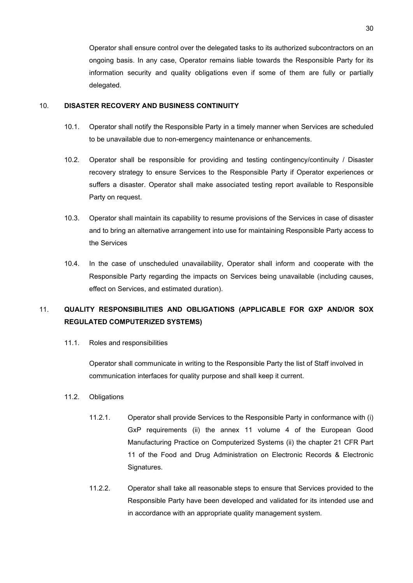Operator shall ensure control over the delegated tasks to its authorized subcontractors on an ongoing basis. In any case, Operator remains liable towards the Responsible Party for its information security and quality obligations even if some of them are fully or partially delegated.

## 10. **DISASTER RECOVERY AND BUSINESS CONTINUITY**

- 10.1. Operator shall notify the Responsible Party in a timely manner when Services are scheduled to be unavailable due to non-emergency maintenance or enhancements.
- 10.2. Operator shall be responsible for providing and testing contingency/continuity / Disaster recovery strategy to ensure Services to the Responsible Party if Operator experiences or suffers a disaster. Operator shall make associated testing report available to Responsible Party on request.
- 10.3. Operator shall maintain its capability to resume provisions of the Services in case of disaster and to bring an alternative arrangement into use for maintaining Responsible Party access to the Services
- 10.4. In the case of unscheduled unavailability, Operator shall inform and cooperate with the Responsible Party regarding the impacts on Services being unavailable (including causes, effect on Services, and estimated duration).

# 11. **QUALITY RESPONSIBILITIES AND OBLIGATIONS (APPLICABLE FOR GXP AND/OR SOX REGULATED COMPUTERIZED SYSTEMS)**

11.1. Roles and responsibilities

Operator shall communicate in writing to the Responsible Party the list of Staff involved in communication interfaces for quality purpose and shall keep it current.

- 11.2. Obligations
	- 11.2.1. Operator shall provide Services to the Responsible Party in conformance with (i) GxP requirements (ii) the annex 11 volume 4 of the European Good Manufacturing Practice on Computerized Systems (ii) the chapter 21 CFR Part 11 of the Food and Drug Administration on Electronic Records & Electronic Signatures.
	- 11.2.2. Operator shall take all reasonable steps to ensure that Services provided to the Responsible Party have been developed and validated for its intended use and in accordance with an appropriate quality management system.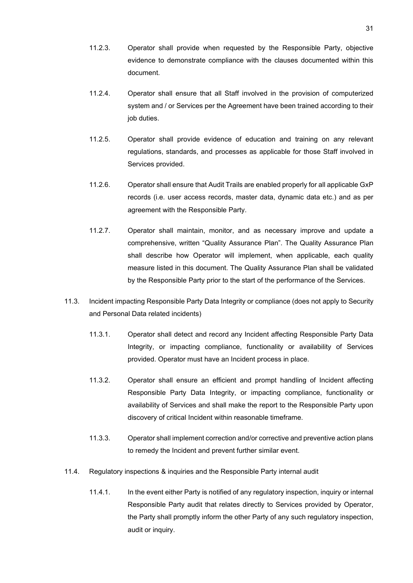- 11.2.3. Operator shall provide when requested by the Responsible Party, objective evidence to demonstrate compliance with the clauses documented within this document.
- 11.2.4. Operator shall ensure that all Staff involved in the provision of computerized system and / or Services per the Agreement have been trained according to their job duties.
- 11.2.5. Operator shall provide evidence of education and training on any relevant regulations, standards, and processes as applicable for those Staff involved in Services provided.
- 11.2.6. Operator shall ensure that Audit Trails are enabled properly for all applicable GxP records (i.e. user access records, master data, dynamic data etc.) and as per agreement with the Responsible Party.
- 11.2.7. Operator shall maintain, monitor, and as necessary improve and update a comprehensive, written "Quality Assurance Plan". The Quality Assurance Plan shall describe how Operator will implement, when applicable, each quality measure listed in this document. The Quality Assurance Plan shall be validated by the Responsible Party prior to the start of the performance of the Services.
- 11.3. Incident impacting Responsible Party Data Integrity or compliance (does not apply to Security and Personal Data related incidents)
	- 11.3.1. Operator shall detect and record any Incident affecting Responsible Party Data Integrity, or impacting compliance, functionality or availability of Services provided. Operator must have an Incident process in place.
	- 11.3.2. Operator shall ensure an efficient and prompt handling of Incident affecting Responsible Party Data Integrity, or impacting compliance, functionality or availability of Services and shall make the report to the Responsible Party upon discovery of critical Incident within reasonable timeframe.
	- 11.3.3. Operator shall implement correction and/or corrective and preventive action plans to remedy the Incident and prevent further similar event.
- 11.4. Regulatory inspections & inquiries and the Responsible Party internal audit
	- 11.4.1. In the event either Party is notified of any regulatory inspection, inquiry or internal Responsible Party audit that relates directly to Services provided by Operator, the Party shall promptly inform the other Party of any such regulatory inspection, audit or inquiry.